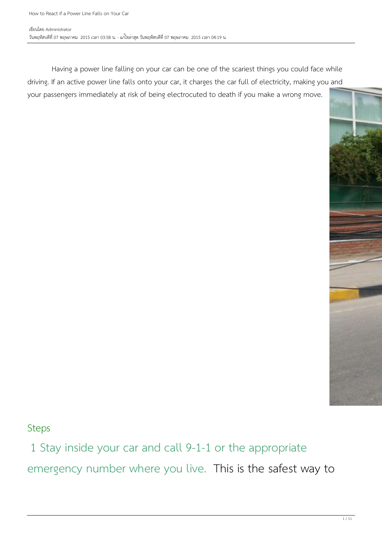Having a power line falling on your car can be one of the scariest things you could face while driving. If an active power line falls onto your car, it charges the car full of electricity, making you and your passengers immediately at risk of being electrocuted to death if you make a wrong move.



Steps

1 Stay inside your car and call 9-1-1 or the appropriate emergency number where you live. This is the safest way to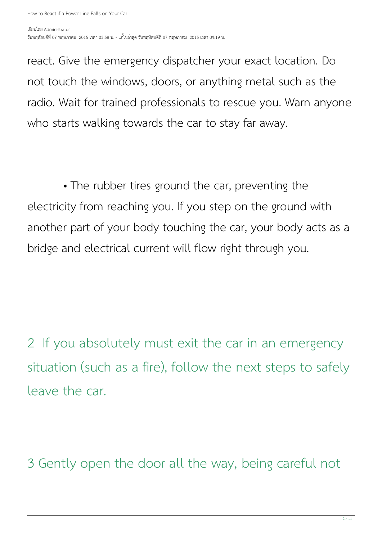react. Give the emergency dispatcher your exact location. Do not touch the windows, doors, or anything metal such as the radio. Wait for trained professionals to rescue you. Warn anyone who starts walking towards the car to stay far away.

 • The rubber tires ground the car, preventing the electricity from reaching you. If you step on the ground with another part of your body touching the car, your body acts as a bridge and electrical current will flow right through you.

2 If you absolutely must exit the car in an emergency situation (such as a fire), follow the next steps to safely leave the car.

3 Gently open the door all the way, being careful not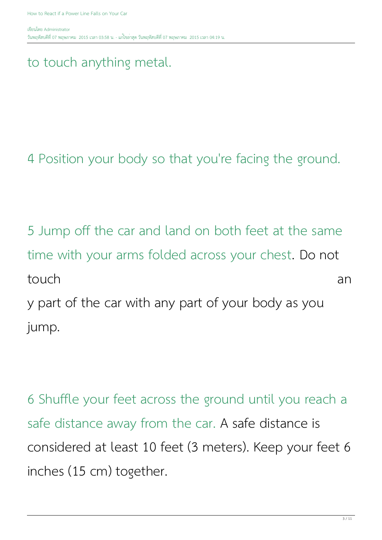### to touch anything metal.

4 Position your body so that you're facing the ground.

5 Jump off the car and land on both feet at the same time with your arms folded across your chest. Do not touch and the set of the set of the set of the set of the set of the set of the set of the set of the set of the set of the set of the set of the set of the set of the set of the set of the set of the set of the set of the y part of the car with any part of your body as you jump.

6 Shuffle your feet across the ground until you reach a safe distance away from the car. A safe distance is considered at least 10 feet (3 meters). Keep your feet 6 inches (15 cm) together.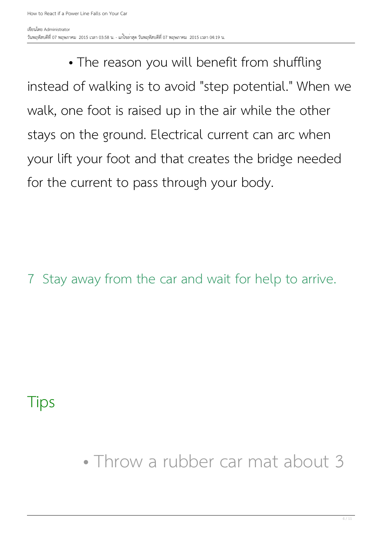• The reason you will benefit from shuffling instead of walking is to avoid "step potential." When we walk, one foot is raised up in the air while the other stays on the ground. Electrical current can arc when your lift your foot and that creates the bridge needed for the current to pass through your body.

7 Stay away from the car and wait for help to arrive.

### Tips

• Throw a rubber car mat about 3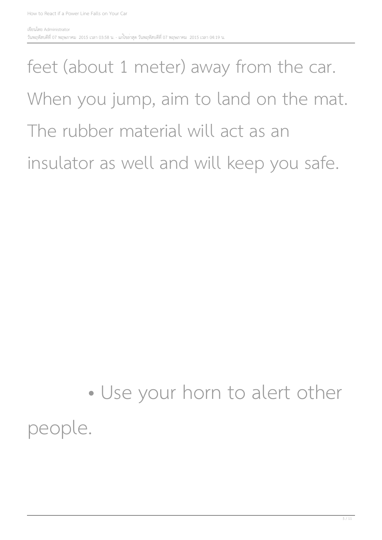### feet (about 1 meter) away from the car. When you jump, aim to land on the mat. The rubber material will act as an insulator as well and will keep you safe.

### • Use your horn to alert other people.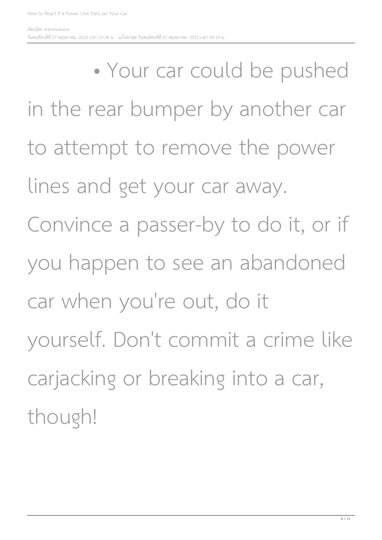• Your car could be pushed in the rear bumper by another car to attempt to remove the power lines and get your car away. Convince a passer-by to do it, or if you happen to see an abandoned car when you're out, do it yourself. Don't commit a crime like carjacking or breaking into a car, though!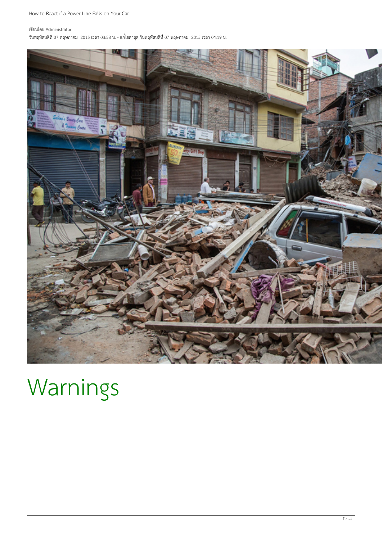#### เขียนโดย Administrator

วันพฤหัสบดีที่ 07 พฤษภาคม 2015 เวลา 03:58 น. - แก้ไขล่าสุด วันพฤหัสบดีที่ 07 พฤษภาคม 2015 เวลา 04:19 น.



### Warnings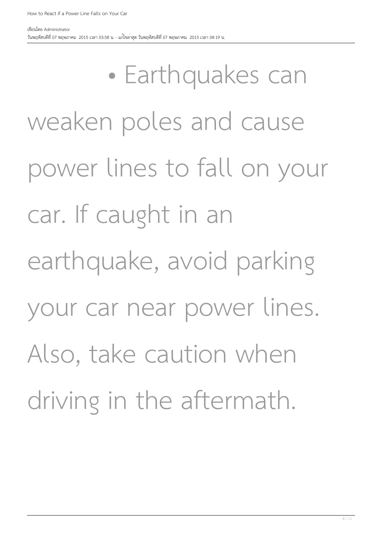• Earthquakes can weaken poles and cause power lines to fall on your car. If caught in an earthquake, avoid parking your car near power lines. Also, take caution when driving in the aftermath.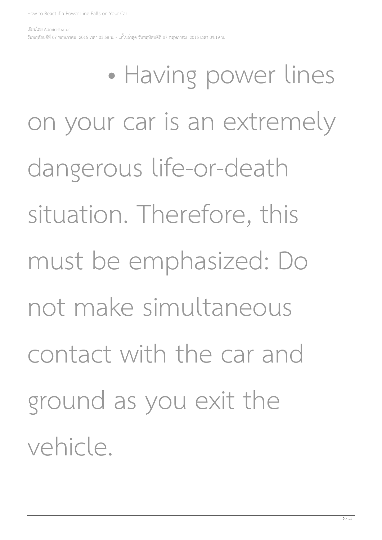• Having power lines on your car is an extremely dangerous life-or-death situation. Therefore, this must be emphasized: Do not make simultaneous contact with the car and ground as you exit the vehicle.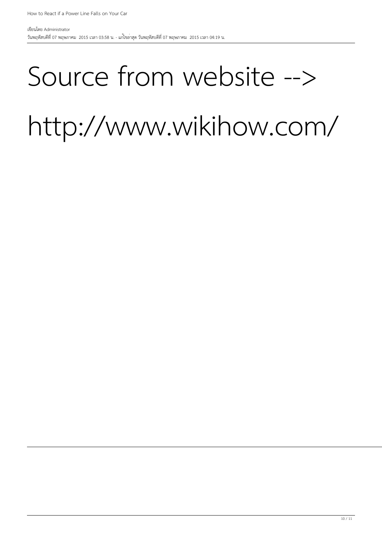## Source from website -->

# http://www.wikihow.com/